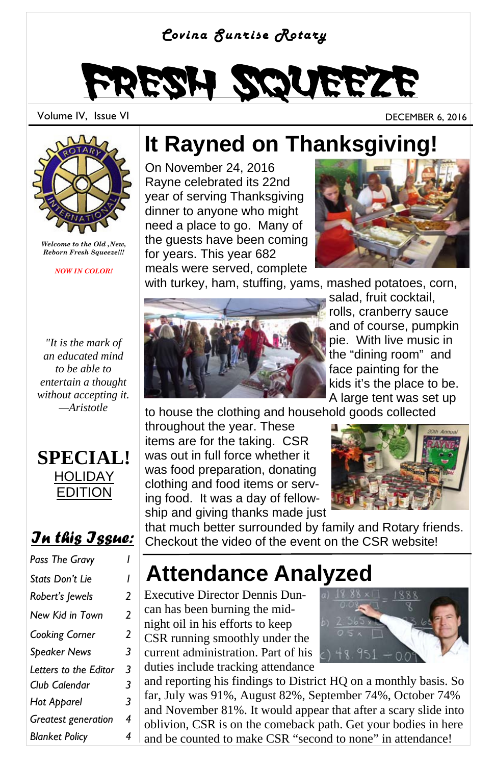#### *Covina Sunrise Rotary*

# Fresh Squeeze

Volume IV, Issue VI DECEMBER 6, 2016



*Welcome to the Old ,New, Reborn Fresh Squeeze!!!* 

*NOW IN COLOR!* 

*"It is the mark of an educated mind to be able to entertain a thought without accepting it. —Aristotle* 



#### *In this Issue:*

| Pass The Gravy        |   |
|-----------------------|---|
| Stats Don't Lie       | ı |
| Robert's Jewels       | 2 |
| New Kid in Town       | 2 |
| Cooking Corner        | 2 |
| <b>Speaker News</b>   | 3 |
| Letters to the Editor | 3 |
| Club Calendar         | 3 |
| Hot Apparel           | 3 |
| Greatest generation   | 4 |
| <b>Blanket Policy</b> | 4 |

#### **It Rayned on Thanksgiving!**

On November 24, 2016 Rayne celebrated its 22nd year of serving Thanksgiving dinner to anyone who might need a place to go. Many of the guests have been coming for years. This year 682 meals were served, complete



with turkey, ham, stuffing, yams, mashed potatoes, corn,



salad, fruit cocktail, rolls, cranberry sauce and of course, pumpkin pie. With live music in the "dining room" and face painting for the kids it's the place to be. A large tent was set up

to house the clothing and household goods collected

throughout the year. These items are for the taking. CSR was out in full force whether it was food preparation, donating clothing and food items or serving food. It was a day of fellowship and giving thanks made just



that much better surrounded by family and Rotary friends. Checkout the video of the event on the CSR website!

### **Attendance Analyzed**

Executive Director Dennis Duncan has been burning the midnight oil in his efforts to keep CSR running smoothly under the current administration. Part of his duties include tracking attendance



and reporting his findings to District HQ on a monthly basis. So far, July was 91%, August 82%, September 74%, October 74% and November 81%. It would appear that after a scary slide into oblivion, CSR is on the comeback path. Get your bodies in here and be counted to make CSR "second to none" in attendance!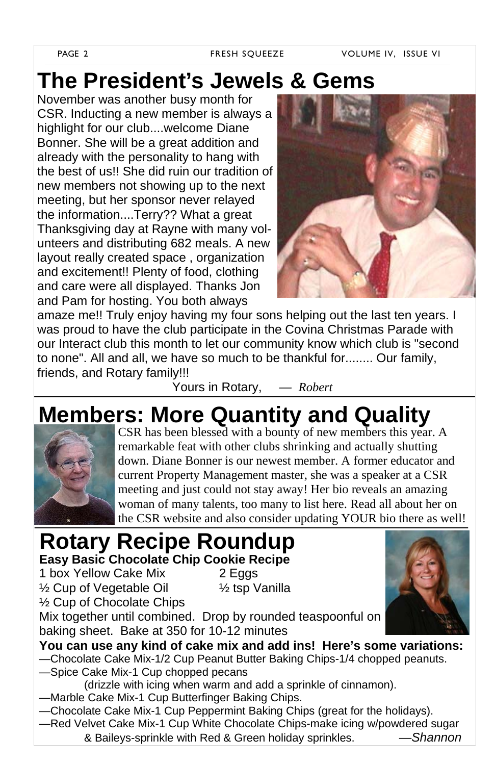### **The President's Jewels & Gems**

November was another busy month for CSR. Inducting a new member is always a highlight for our club....welcome Diane Bonner. She will be a great addition and already with the personality to hang with the best of us!! She did ruin our tradition of new members not showing up to the next meeting, but her sponsor never relayed the information....Terry?? What a great Thanksgiving day at Rayne with many volunteers and distributing 682 meals. A new layout really created space , organization and excitement!! Plenty of food, clothing and care were all displayed. Thanks Jon and Pam for hosting. You both always



amaze me!! Truly enjoy having my four sons helping out the last ten years. I was proud to have the club participate in the Covina Christmas Parade with our Interact club this month to let our community know which club is "second to none". All and all, we have so much to be thankful for........ Our family, friends, and Rotary family!!!

Yours in Rotary, *— Robert*

### **Members: More Quantity and Quality**



CSR has been blessed with a bounty of new members this year. A remarkable feat with other clubs shrinking and actually shutting down. Diane Bonner is our newest member. A former educator and current Property Management master, she was a speaker at a CSR meeting and just could not stay away! Her bio reveals an amazing woman of many talents, too many to list here. Read all about her on the CSR website and also consider updating YOUR bio there as well!

#### **Rotary Recipe Roundup Easy Basic Chocolate Chip Cookie Recipe**

1 box Yellow Cake Mix 2 Eggs ½ Cup of Vegetable Oil ½ tsp Vanilla ½ Cup of Chocolate Chips



Mix together until combined. Drop by rounded teaspoonful on baking sheet. Bake at 350 for 10-12 minutes

**You can use any kind of cake mix and add ins! Here's some variations:**  —Chocolate Cake Mix-1/2 Cup Peanut Butter Baking Chips-1/4 chopped peanuts. —Spice Cake Mix-1 Cup chopped pecans

- (drizzle with icing when warm and add a sprinkle of cinnamon).
- —Marble Cake Mix-1 Cup Butterfinger Baking Chips.
- —Chocolate Cake Mix-1 Cup Peppermint Baking Chips (great for the holidays).
- —Red Velvet Cake Mix-1 Cup White Chocolate Chips-make icing w/powdered sugar & Baileys-sprinkle with Red & Green holiday sprinkles. *—Shannon*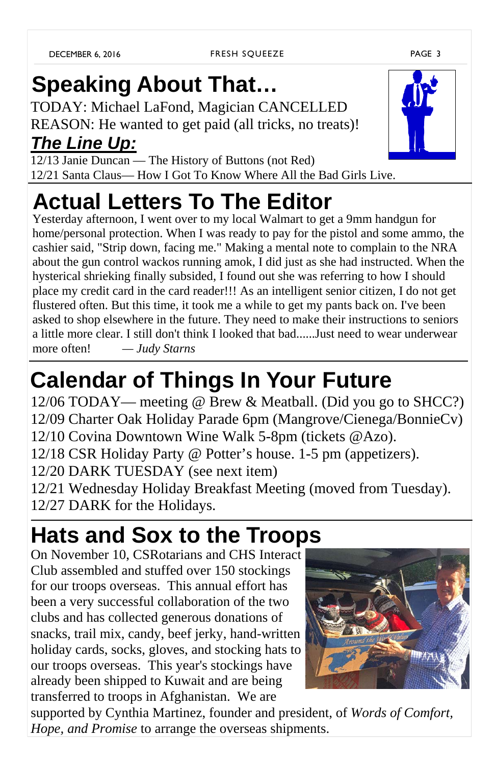# **Speaking About That…**

TODAY: Michael LaFond, Magician CANCELLED REASON: He wanted to get paid (all tricks, no treats)! *The Line Up:*

12/13 Janie Duncan — The History of Buttons (not Red) 12/21 Santa Claus— How I Got To Know Where All the Bad Girls Live.

# **Actual Letters To The Editor**

Yesterday afternoon, I went over to my local Walmart to get a 9mm handgun for home/personal protection. When I was ready to pay for the pistol and some ammo, the cashier said, "Strip down, facing me." Making a mental note to complain to the NRA about the gun control wackos running amok, I did just as she had instructed. When the hysterical shrieking finally subsided, I found out she was referring to how I should place my credit card in the card reader!!! As an intelligent senior citizen, I do not get flustered often. But this time, it took me a while to get my pants back on. I've been asked to shop elsewhere in the future. They need to make their instructions to seniors a little more clear. I still don't think I looked that bad......Just need to wear underwear more often! *— Judy Starns*

# **Calendar of Things In Your Future**

12/06 TODAY— meeting @ Brew & Meatball. (Did you go to SHCC?) 12/09 Charter Oak Holiday Parade 6pm (Mangrove/Cienega/BonnieCv) 12/10 Covina Downtown Wine Walk 5-8pm (tickets @Azo). 12/18 CSR Holiday Party @ Potter's house. 1-5 pm (appetizers). 12/20 DARK TUESDAY (see next item) 12/21 Wednesday Holiday Breakfast Meeting (moved from Tuesday).

12/27 DARK for the Holidays.

### **Hats and Sox to the Troops**

On November 10, CSRotarians and CHS Interact Club assembled and stuffed over 150 stockings for our troops overseas. This annual effort has been a very successful collaboration of the two clubs and has collected generous donations of snacks, trail mix, candy, beef jerky, hand-written holiday cards, socks, gloves, and stocking hats to our troops overseas. This year's stockings have already been shipped to Kuwait and are being transferred to troops in Afghanistan. We are

supported by Cynthia Martinez, founder and president, of *Words of Comfort, Hope, and Promise* to arrange the overseas shipments.